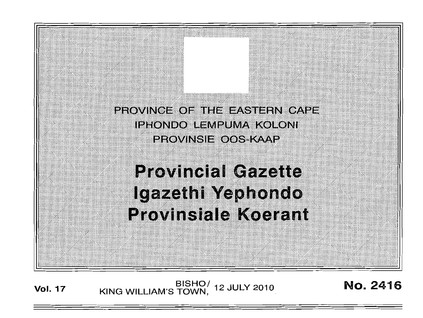PROVINCE OF THE EASTERN CAPE IPHONDO LEMPUMA KOLONI PROVINSIE OOS KAMP

# **Provincial Gazette** Igazethi Yephondo **Provinsiale Koerant**

BISHO/ 12 JULY 2010<br>KING WILLIAM'S TOWN, 12 JULY 2010

**No. 2416** 

**Vol. 17**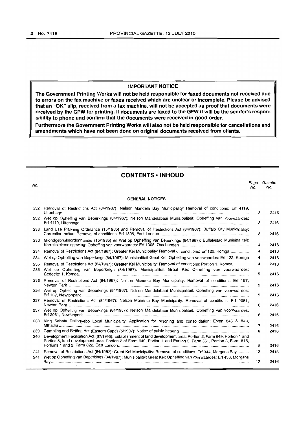## **IMPORTANT NOTICE**

**The Government Printing Works will not be held responsible for faxed documents not received due to errors on the fax machine or faxes received which are unclear or incomplete. Please be advised that an "OK" slip, received from a fax machine, will not be accepted as proof that documents were received by the GPW for printing. If documents are faxed to the GPW it will be the sender's responsibility to phone and confirm that the documents were received in good order.** 

**Furthermore the Government Printing Works will also not be held responsible for cancellations and amendments which have not been done on original documents received from clients.** 

## **CONTENTS -INHOUD**

No. Page Gazette No. No.

#### **GENERAL NOTICES**

|            | 232 Removal of Restrictions Act (84/1967): Nelson Mandela Bay Municipality: Removal of conditions: Erf 4119,                                                                                                                           | 3  | 2416 |
|------------|----------------------------------------------------------------------------------------------------------------------------------------------------------------------------------------------------------------------------------------|----|------|
| 232        | Wet op Opheffing van Beperkings (84/1967): Nelson Mandelabaai Munisipaliteit: Opheffing van voorwaardes:                                                                                                                               | з  | 2416 |
| 233        | Land Use Planning Ordinance (15/1985) and Removal of Restrictions Act (84/1967): Buffalo City Municipality:                                                                                                                            | з  | 2416 |
| 233        | Grondgebruiksordonnansie (15/1985) en Wet op Opheffing van Beperkings (84/1967): Buffalostad Munisipaliteit:                                                                                                                           | 4  | 2416 |
| 234        | Removal of Restrictions Act (84/1967): Greater Kei Municipality: Removal of conditions: Erf 122, Komga                                                                                                                                 | 4  | 2416 |
| 234        | Wet op Opheffing van Beperkings (84/1967): Munisipaliteit Great Kei: Opheffing van voorwaardes: Erf 122, Komga                                                                                                                         | 4  | 2416 |
| 235<br>235 | Removal of Restrictions Act (84/1967): Greater Kei Municipality: Removal of conditions: Portion 1, Komga<br>Wet op Opheffing van Beperkings (84/1967): Munisipaliteit Great Kei: Opheffing van voorwaardes:                            | 4  | 2416 |
|            |                                                                                                                                                                                                                                        | 5  | 2416 |
| 236        | Removal of Restrictions Act (84/1967): Nelson Mandela Bay Municipality: Removal of conditions: Erf 157,                                                                                                                                | 5  | 2416 |
| 236        | Wet op Opheffing van Beperkings (84/1967): Nelson Mandelabaai Munisipaliteit: Opheffing van voorwaardes:                                                                                                                               | 5  | 2416 |
| 237        | Removal of Restrictions Act (84/1967): Nelson Mandela Bay Municipality: Removal of conditions: Erf 2081,                                                                                                                               | 6  | 2416 |
|            | 237 Wet op Opheffing van Beperkings (84/1967): Nelson Mandelabaai Munisipaliteit: Opheffing van voorwaardes:                                                                                                                           | 6  | 2416 |
| 238        | King Sabata Dalindyebo Local Municipality: Application for rezoning and consolidation: Erven 845 & 848,                                                                                                                                | 7  | 2416 |
| 239        |                                                                                                                                                                                                                                        | 8  | 2416 |
| 240        | Development Facilitation Act (67/1995): Establishment of land development area: Portion 2, Farm 649, Portion 1 and<br>Portion 5, land development area, Portion 2 of Farm 649, Portion 1 and Portion 5, Farm 651, Portion 3, Farm 816, |    |      |
|            |                                                                                                                                                                                                                                        | 9  | 2416 |
| 241<br>241 | Removal of Restrictions Act (84/1967): Great Kei Municipality: Removal of conditions: Erf 344, Morgans Bay<br>Wet op Opheffing van Beperkings (84/1967): Munisipaliteit Great Kei: Opheffing van voorwaardes: Erf 433, Morgans         | 12 | 2416 |
|            |                                                                                                                                                                                                                                        | 12 | 2416 |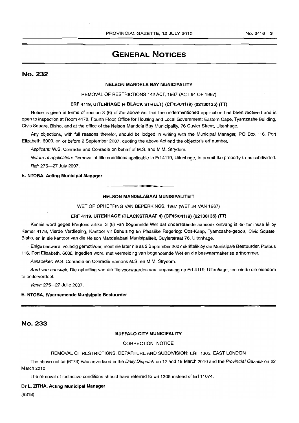# GENERAL NOTICES

## No. 232

## NELSON MANDELA BAY MUNICIPALITY

REMOVAL OF RESTRICTIONS 142 ACT, 1967 (ACT 84 OF 1967)

## ERF 4119, UITENHAGE (4 BLACK STREET) (CF45/04119) (02130135) (TT)

Notice is given in terms of section 3 (6) of the above Act that the undermentioned application has been received and is open to inspection at Room 4178, Fourth Floor, Office for Housing and Local Government: Eastern Cape, Tyamzashe Building, Civic Square, Bisho, and at the office of the Nelson Mandela Bay Municipality, 76 Cuyler Street, Uitenhage.

Any objections, with full reasons therefor, should be lodged in writing with the Municipal Manager, PO Box 116, Port Elizabeth, 6000, on or before 2 September 2007, quoting the above Act and the objector's erf number.

Applicant: W.S. Conradie and Conradie on behalf of M.S. and M.M. Strydom.

Nature of application: Removal of title conditions applicable to Erf 4119, Uitenhage, to permit the property to be subdivided. Ref: 275-27 July 2007.

## E. NTOBA, Acting Municipal Manager

### NELSON MANDELABAAI MUNISIPALITEIT

----------... \_--.. .-----------

WET OP OPHEFFING VAN BEPERKINGS, 1967 (WET 84 VAN 1967)

#### ERF 4119, UITENHAGE (BLACKSTRAAT 4) (CF45/04119) (02130135) (IT)

Kennis word gegee kragtens artikel 3 (6) van bogemelde Wet dat onderstaande aansoek ontvang is en ter insae lê by Kamer 4178, Vierde Verdieping, Kantoor vir Behuising en Plaaslike Regering: Oos-Kaap, Tyamzashe-gebou, Civic Square, Bisho, en in die kantoor van die Nelson Mandelabaai Munisipaliteit, Cuylerstraat 76, Uitenhage .

. Enige besware, volledig gemotiveer, moet nie later nie as 2 September 2007 skriftelik by die Munisipale Bestuurder, Posbus 116, Port Elizabeth, 6000, ingedien word, met vermelding van bogenoemde Wet en die beswaarmaker se erfnommer.

Aansoeker: W.S. Conradie en Conradie namens M.S. en M.M. Strydom.

Aard van aansoek: Die opheffing van die titelvoorwaardes van toepassing op Erf 4119, Uitenhage, ten einde die eiendom te onderverdeel.

Verw: 275-27 Julie 2007.

#### E. NTOBA, Waarnemende Munisipale Bestuurder

## No. 233

## BUFFALO CITY MUNICIPALITY

## CORRECTION NOTICE

## REMOVAL OF RESTRICTIONS, DEPARTURE AND SUBDIVISION: ERF 1305, EAST LONDON

The above notice (6173) was advertised in the Daily Dispatch on 12 and 19 March 2010 and the Provincial Gazette on 22 March 2010.

The removal of restrictive conditions should have referred to Erf 1305 instead of Erf 11074.

#### Dr L. ZITHA, Acting Municipal Manager

(6318)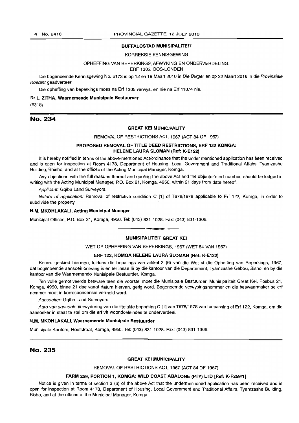## BUFFALOSTAD MUNISIPALITEIT

### KORREKSIE KENNISGEWING

## OPHEFFING VAN BEPERKINGS, AFWYKING EN ONDERVERDELlNG: ERF 1305, OOS-LONDEN

Die bogenoemde Kennisgewing No. 6173 is op 12 en 19 Maart 2010 in Die Burger en op 22 Maart 2010 in die Provinsiale Koerant geadverteer.

Die opheffing van beperkings moes na Erf 1305 verwys, en nie na Erf 11074 nie.

## Dr L. ZITHA, Waarnemende Munisipale Bestuurder

(6318)

## No. 234

## GREAT KEI MUNICIPALITY

### REMOVAL OF RESTRICTIONS ACT, 1967 (ACT 84 OF 1967)

## PROPOSED REMOVAL OF TITLE DEED RESTRICTIONS, ERF 122 KOMGA: HELENE LAURA SLOMAN (Ref: K-E122)

It is hereby notified in terms of the above-mentioned Act/ordinance that the under mentioned application has been received and is open for inspection at Room 4178, Department of Housing, Local Government and Traditional Affairs, Tyamzashe Building, Bhisho, and at the offices of the Acting Municipal Manager, Komga.

Any objections with the full reasons thereof and quoting the above Act and the objector's erf number, should be lodged in writing with the Acting Municipal Manager, P.O. Box 21, Komga, 4950, within 21 days from date hereof.

Applicant: Gqiba Land Surveyors.

Nature of application: Removal of restrictive condition C [1] of T678/1978 applicable to Erf 122, Komga, in order to subdivide the property.

## N.M. MKOHLAKALI, Acting Municipal Manager

Municipal Offices, P.O. Box 21, Komga, 4950. Tel: (043) 831-1028. Fax: (043) 831-1306 . . **., .** 

#### MUNISIPALITEIT GREAT KEI

## WET OP OPHEFFING VAN BEPERKINGS, 1967 (WET 84 VAN 1967)

## ERF 122, KOMGA HELENE LAURA SLOMAN (Ref: K-E122)

Kennis geskied hiermee, luidens die bepalings van artikel 3 (6) van die Wet of die Opheffing van Beperkings, 1967, dat bogenoemde aansoek ontvang is en ter insae lê by die kantoor van die Departement, Tyamzashe Gebou, Bisho, en by die kantoor van die Waarnemende Munisipale Bestuurder, Komga.

Ten volle gemotiveerde besware teen die voorstel moet die Munisipale Bestuurder, Munisipaliteit Great Kei, Posbus 21, Komga, 4950, binne 21 dae vanaf datum hiervan, gerig word. Bogenoemde verwysingsnommer en die beswaarmaker se erf nommer moet in korrespondensie vermeld word.

Aansoeker: Gqiba Land Surveyors.

Aard van aansoek: Verwydering van die titelakte beperking C [1] van T678/1978 van toepassing of Erf 122, Komga, om die aansoeker in staat te stel om die erf vir woondoeleindes te onderverdeel.

### N.M. MKOHLAKALI, Waarnemende Munisipale Bestuurder

Munisipale Kantore, Hootstraat, Komga, 4950. Tel: (043) 831-1028. Fax: (043) 831-1306.

## No. 235

### GREAT KEI MUNICIPALITY

REMOVAL OF RESTRICTIONS ACT, 1967 (ACT 84 OF 1967)

## FARM 259, PORTION 1, KOMGA: WILD COAST ABALONE (PTY) LTD [Ref: K-F259/1]

Notice is given in terms of section 3 (6) of the above Act that the undermentioned application has been received and is open for inspection at Room 4178, Department of Housing, Local Government and Traditional Affairs, Tyamzashe Building, Bisho, and at the offices of the Municipal Manager, Komga.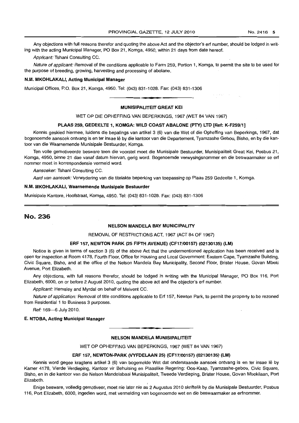Any objections with full reasons therefor and quoting the above Act and the objector's ert number, should be lodged in writing with the acting Municipal Manager, PO Box 21, Komga, 4950, within 21 days from date hereof.

Applicant: Tshani Consulting CC.

Nature of applicant: Removal of the conditions applicable to Farm 259, Portion 1, Komga, to permit the site to be used for the purpose of breeding, growing, harvesting and processing of abolane.

## N.M. MKOHLAKALI, Acting Municipal Manager

Municipal Offices, P.O. Box 21, Komga, 4950. Tel: (043) 831-1028. Fax: (043) 831-1306 . **- .** 

### MUNISIPALITEIT GREAT KEI

WET OP DIE OPHEFFING VAN BEPERKINGS, 1967 (WET 84 VAN 1967)

## PLAAS 259, GEDEELTE 1, KOMGA: WilD COAST ABALONE (PTY) LTD [Ref: K-F259/1J

Kennis geskied hiermee, luidens die bepalings van artikel 3 (6) van die Wet of die Opheffing van Beperkings, 1967, dat bogenoemde aansoek ontvang is en ter insae lê by die kantoor van die Departement, Tyamzashe Gebou, Bisho, en by die kantoor van die Waarnemende Munisipale Bestuurder, Komga.

Ten volle gemotiveerde besware teen die voorstel moet die Munisipale Bestuurder, Munisipaliteit Great Kei, Posbus 21, Komga, 4950, binne 21 dae vanaf datum hiervan, gerig word. Bogenoemde verwysingsnommer en die beswaarmaker se ert nommer moet in korrespondensie vermeld word.

Aansoeker: Tshani Consulting CC.

Aard van aansoek: Verwydering van die titelakte beperking van toepassing op Plaas 259 Gedeelte 1, Komga.

#### N.M. MKOHLAKALI, Waarnemende Munisipale Bestuurder

Munisipale Kantore, Hoofstraat, Komga, 4950. Tel: (043) 831-1028. Fax: (043) 831-1306

## No. 236

#### NELSON MANDELA BAY MUNICIPALITY

REMOVAL OF RESTRICTIONS ACT, 1967 (ACT 84 OF 1967)

#### ERF 157, NEWTON PARK (25 FIFTH AVENUE) (CF17/00157) (02130135) (lM)

Notice is given in terms of section 3 (6) of the above Act that the undermentioned application has been received and is open for inspection at Room 4178, Fourth Floor, Office for Housing and Local Government: Eastern Cape, Tyamzashe Building, Civic Square, Bisho, and at the office of the Nelson Mandela Bay Municipality, Second Floor, Brister House, Govan Mbeki Avenue, Port Elizabeth.

Any objections, with full reasons therefor, should be lodged in writing with the Municipal Manager, PO Box 116, Port Elizabeth, 6000, on or before 2 August 2010, quoting the above act and the objector's ert number.

Applicant: Hemsley and Myrdal on behalf of Melvent CC.

Nature of application: Removal of title conditions applicable to Erf 157, Newton Park, to permit the property to be rezoned from Residential 1 to Business 3 purposes.

Ref: 169-6 July 2010.

## E. NTOBA, Acting Municipal Manager

## NELSON MANDELA MUNISIPALITEIT

**-**

WET OP OPHEFFING VAN BEPERKINGS, 1967 (WET 84 VAN 1967)

#### ERF 157, NEWTON-PARK (VYFDELAAN 25) (CF17/00157) (02130135) (LM)

Kennis word gegee kragtens artikel 3 (6) van bogemelde Wet dat onderstaande aansoek ontvang is en ter insae lê by Kamer 4178, Vierde Verdieping, Kantoor vir Behuising en Plaaslike Regering: Oos-Kaap, Tyamzashe-gebou, Civic Square, Bisho, en in die kantoor van die Nelson Mandelabaai Munisipaliteit, Tweede Verdieping. Brister House, Govan Mbekilaan, Port Elizabeth.

Enige besware, volledig gemotiveer, moet nie later nie as 2 Augustus 2010 skriftelik by die Munisipale Bestuurder, Posbus 116, Port Elizabeth, 6000, ingedien word, met vermelding van bogenoemde wet en die beswaarmaker se erfnommer.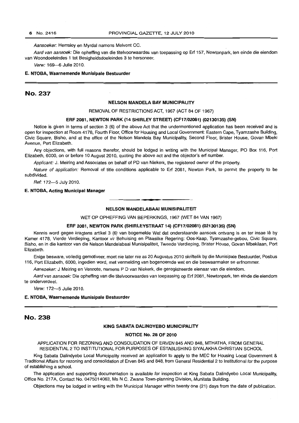Aansoeker: Hemsley en Myrdal namens Melvent CC.

Aard van aansoek: Die opheffing van die titelvoorwaardes van toepassing op Erf 157, Newtonpark, ten einde die eiendom van Woondoeleindes 1 tot Besigheidsdoeleindes 3 te hersoneer.

Verw: 169-6 Julie 2010.

#### E. NTOBA, Waarnemende Munisipale Bestuurder

## No. 237

### NELSON MANDELA BAY MUNICIPALITY

REMOVAL OF RESTRICTIONS ACT, 1967 (ACT 84 OF 1967)

#### ERF 2081, NEWTON PARK (14 SHIRLEY STREET) (CF17/02081) (02130135) (SN)

Notice is given in terms of section 3 (6) of the above Act that the undermentioned application has been received and is open for inspection at Room 4178, Fourth Floor, Office for Housing and Local Government: Eastern Cape, Tyamzashe Building, Civic Square, Bisho, and at the office of the Nelson Mandela Bay Municipality, Second Floor, Brister House, Govan Mbeki Avenue, Port Elizabeth.

Any objections, with full reasons therefor, should be lodged in writing with the Municipal Manager, PO Box 116, Port Elizabeth, 6000, on or before 10 August 2010, quoting the above act and the objector's erf number.

Applicant: J. Meiring and Associates on behalf of PD van Niekerk, the registered owner of the property.

Nature of application: Removal of title conditions applicable to Erf 2081, Newton Park, to permit the property to be subdivided.

Ref: 172-5 July 2010.

## E. NTOBA, Acting Municipal Manager

#### NELSON MANDELABAAI MUNISIPALITEIT

**I •** 

WET OP OPHEFFfNG VAN BEPERKINGS, 1967 (WET 84 VAN 1967)

#### ERF 2081, NEWTON PARK (SHIRLEYSTRAAT 14) (CF17/02081) (02130135) (SN)

Kennis word gegee kragtens artikel 3 (6) van bogemelde Wet dat onderstaande aansoek ontvang is en ter insae lê by Kamer 4178, Vierde Verdieping, Kantoor vir Behuising en Plaaslike Regering: Oos-Kaap, Tyamzashe-gebou, Civic Square, Bisho, en in die kantoor van die Nelson Mandelabaai Munisipaliteit, Tweede Verdieping, Brister House, Govan Mbekilaan, Port Elizabeth.

Enige besware, voliedig gemotiveer, moet nie later nie as 20 Augustus 2010 skriftelik by die Munisipale Bestuurder, Posbus 116, Port Elizabeth, 6000, ingedien word, met vermelding van bogenoemde wet en die beswaarmaker se erfnommer.

Aansoeker: J Meiring en Vennote, namens P D van Niekerk, die geregistreerde eienaar van die eiendom.

Aard van aansoek: Die opheffing van die titelvoorwaardes van toepassing op Erf 2081, Newtonpark, ten einde die eiendom te onderverdeel

Verw: 172-5 Julie 2010.

#### E. NTOBA, Waarnemende Munisipale Bestuurder

# No. 238

#### KING SABATA DALINDYEBO MUNICIPALITY

#### NOTICE No. 28 OF 2010

APPLICATION FOR REZONING AND CONSOLIDATION OF ERVEN 845 AND 848, MTHATHA, FROM GENERAL RESIDENTIAL 2 TO INSTITUTIONAL FOR PURPOSES OF ESTABLISHING SIYALAKHA CHRISTIAN SCHOOL

King Sabata Dalindyebo Local Municipality received an application to apply to the MEC for Housing Local Government & Traditional Affairs for rezoning and consolidation of Erven 845 and 848, from General Residential 2 to Institutional for the purpose of establishing a school.

The application and supporting documentation is available for inspection at King Sabata Dalindyebo Local Municipality, Office No. 217A, Contact No. 0475014063, Ms N.C. Zwane Town-planning Division, Munitata Building.

Objections may be lodged in writing with the Municipal Manager within twenty one (21) days from the date of publication.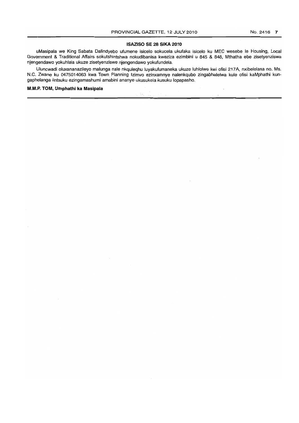## **ISAZISO SE 28 SIKA2010**

uMasipala we King Sabata Dalindyebo ufumene isicelo sokucela ukufaka isicelo ku MEC wesebe Ie Housing, Local Government & Traditional Affairs sokutshintshwa nokudibanisa kweziza ezimbini u 845 & 848, Mthatha ebe zisetyenziswa njengendawo yokuhlala ukuze zisetyenziswe njengendawo yokufundela.

Uluncwadi oluxananazileyo malunga nale nkquleqhu luyakufumaneka ukuze luhlolwe kwi ofisi 217A, nxibelelana no. Ms. N.C. Zwane ku 0475014063 kwa Town Planning Izimvo ezinxamnye nalenkqubo zingabhalelwa kule ofisi kaMphathi kungaphelanga iintsuku ezingamashumi amabini ananye ukusukela kusuku lopapasho.

## **M.M.P. TOM, Umphathi ka Masipala**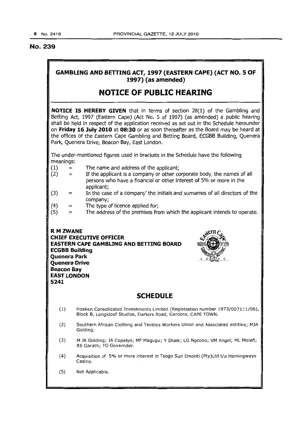## No. 239

# **GAMBLING AND BETTING ACT, 1997 (EASTERN CAPE) (ACT NO.5 OF 1997) (as amended)**

# **NOTICE OF PUBLIC HEARING**

**NOTICE IS HEREBY GIVEN** that in terms of section 28(1) of the Gambling and Betting Act, 1997 (Eastern Cape) (Act No.5 of 1997) (as amended) a public hearing shall be held in respect of the application received as set out in the Schedule hereunder on **Friday 16luly 2010 at 08:30** or as soon thereafter as the Board may be heard at the offices of the Eastern Cape Gambling and Betting Board, ECGBB Building, Quenera Park, Quenera Drive, Beacon Bay, East London.

The under-mentioned figures used in brackets in the Schedule have the following meanings:

- $(1) =$ The name and address of the applicant;
- $(2) =$ If the appiicant is a company or other corporate body, the names of aii persons who have a financial or other interest of 5% or more in the applicant;
- (3)  $=$ In the case of a company' the initials and surnames of all directors of the company;
- (4)  $=$ The type of licence applied for;
- (5)  $=$ The address of the premises from which the applicant intends to operate.

**R M** ZWANE **CHIEF EXECUTIVE OFFICER EASTERN CAPE GAMBLING AND BETTING BOARD ECGBB Building Quenera Park Quenera Drive Beacon Bay EAST LONDON 5241** 



I

# **SCHEDULE**

- (1) Hosken Consolidated Investments Limited (Registration number *1973/007111/06),*  Block B, Longkloof Studios, Darters Road, Gardens, CAPE TOWN.
- (2) Southern African Clothing and Textiles Workers Union and Associated entities; MJA Golding.
- (3) M JA Golding; JA Copelyn; MF Magugu; Y Shaik; LG Ngcobo; VM Angel; ML Molefi; RS Garath; TG Governder.
- (4) Acquisition of 5% or more interest in Tsogo Sun Emonti (pty)Ltd *t/a* Hemingways Casino.
- (5) Not Applicable.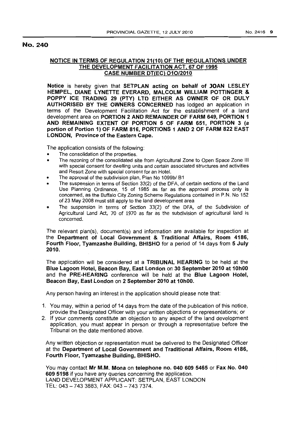## No. 240

## NOTICE IN TERMS OF REGULATION 21(10) OF THE REGULATIONS UNDER THE DEVELOPMENT FACILITATION ACT, 67 OF 1995 CASE NUMBER DT(EC) 010/2010

Notice is hereby given that SETPLAN acting on behalf of JOAN LESLEY HEMPEL, DIANE LYNETTE EVERARD, MALCOLM WILLIAM POTTINGER & POPPY ICE TRADING 29 (PTY) LTD EITHER AS OWNER OF OR DULY AUTHORISED BY THE OWNERS CONCERNED has lodged an application in terms of the Development Facilitation Act for the establishment of a land development area on PORTION 2 AND REMAINDER OF FARM 649, PORTION 1 AND REMAINING EXTENT OF PORTION 5 OF FARM 651, PORTION 3 (a portion of Portion 1) OF FARM 816, PORTIONS 1 AND 2 OF FARM 822 EAST LONDON, Province of the Eastern Cape.

The application consists of the following:

- The consolidation of the properties.
- The rezoning of the consolidated site from Agricultural Zone to Open Space Zone III with special consent for dwelling units and certain associated structures and activities and Resort Zone with special consent for an Hotel.
- The approval of the subdivision plan, Plan No *1099bl* B1
- The suspension in terms of Section 33(2) of the DFA, of certain sections of the Land Use Planning Ordinance, 15 of 1985 as far as the approval process only is concerned, as the Buffalo City Zoning Scheme Regulations contained in P.N. No 152 of 23 May 2008 must still apply to the land development area
- o The suspension in terms of Section 33(2) of the DFA, of the Subdivision of Agricultural Land Act, 70 of 1970 as far as the subdivision of agricultural land is concerned.

The relevant plan(s), document(s) and information are available for inspection at the Department of Local Government & Traditional Affairs, Room 4186, Fourth Floor, Tyamzashe Building, BHISHO for a period of 14 days from 5 July 2010.

The application will be considered at a TRIBUNAL HEARING to be held at the Blue Lagoon Hotel, Beacon Bay, East London on 30 September 2010 at 10hOO and the PRE-HEARING conference will be held at the Blue Lagoon Hotel, Beacon Bay, East London on 2 September 2010 at 10hOO.

Any person having an interest in the application should please note that:

- 1. You may, within a period of 14 days from the date of the publication of this notice, provide the Designated Officer with your written objections or representations; or
- 2. If your comments constitute an objection to any aspect of the land development application, you must appear in person or through a representative before the Tribunal on the date mentioned above.

Any written objection or representation must be delivered to the Designated Officer at the Department of Local Government and Traditional Affairs, Room 4186, Fourth Floor, Tyamzashe Building, BHISHO.

You may contact Mr M.M. Mona on telephone no. 040 609 5465 or Fax No. 040 609 5198 if you have any queries concerning the application. LAND DEVELOPMENT APPLICANT: SETPLAN, EAST LONDON TEL: 043 - 743 3883, FAX: 043 - 743 7374.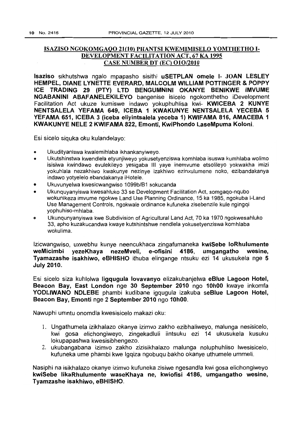# ISAZISO NGOKOMGAQO 21(10) PHANTSI KWEMIMISELO YOMTHETHO 1- DEVELOPMENT FACILITATION ACT, 67 KA 1995 CASE NUMBER DT (EC) 010/2010

Isaziso sikhutshwa ngalo mpapasho sisithi uSETPLAN omele 1- JOAN LESLEY HEMPEL, DIANE LYNETTE EVERARD, MALCOLM WILLIAM POTTINGER & POppy ICE TRADING 29 (PTY) LTD BENGUMNINI OKANYE BENIKWE IMVUME NGABANINI ABAFANELEKILEYO bangenise isicelo ngokomthetho iDevelopment Facilitation Act ukuze kumiswe indawo yokuphuhlisa kwi- KWICEBA 2 KUNYE NENTSALELA YEFAMA 649, ICEBA 1 KWAKUNYE NENTSALELA YECEBA 5 YEFAMA 651, ICEBA 3 (iceba eliyintsalela yeceba 1) KWIFAMA 816, AMACEBA 1 KWAKUNYE NELE 2 KWIFAMA 822, Emonti, KwiPhondo LaseMpuma Koloni.

Esi sicelo siquka oku kulandelayo:

- Ukudityaniswa kwalemihlaba ikhankanyiweyo.
- Ukutshinstwa kwendlela etyunjiweyo yokusetyenziswa komhlaba isuswa kumhlaba wolimo isisiwa kwindawo evulekileyo yesigaba III yaye inemvume etsolileyo yokwakha imizi yokuhlala nezakhiwo kwakunye nezinye izakhiwo ezinxulumene noko, ezibandakanya indawo yotyelelo ebandakanya iHotele.
- Ukuvunyelwa kwesicwangwiso 1099b/B1 sokucanda
- Ukunquyanyiswa kwesahluko 33 se Development Facilitation Act, somgaqo-nqubo wokunikeza imvume ngokwe Land Use Planning Ordinance, 15 ka 1985, ngokuba I-Land Use Management Controls, ngokwale ordinance kufuneka zisebenzile kule ngingqi yophuhiso-mhlaba.
- o Ukunqunyanyiswa kwe Subdivision of Agricultural Land Act, 70 ka 1970 ngokwesahluko 33, apho kuzakucandwa kwaye kutshintshwe nendlela yokusetyenziswa komhlaba wokulima.

Izicwangwiso, uxwebhu kunye neencukhaca zingafumaneka kwiSebe loRhulumente weMicimbi yezeKhaya nezeMveli, e-ofisini 4186, umgangatho wesine, Tyamazashe isakhiwo, eBHISHO ithuba elingange ntsuku ezi 14 ukusukela nge 5 July 2010.

Esi sicelo siza kuhlolwa ligqugula lovavanyo elizakubanjelwa eBlue Lagoon Hotel, Beacon Bay, East London nge 30 September 2010 ngo 10hOO kwaye inkomfa YODLIWANO NDLEBE phambi kudibane igqugula izakuba seBlue Lagoon Hotel, Beacon Bay, Emonti nge 2 September 2010 ngo 10hOO.

Nawuphi umntu onomdla kwesisicelo makazi oku:

- 1. Ungathumela izikhalazo okanye izimvo zakho ezibhaliweyo, malunga nesisicelo, kwi gosa elichongiweyo, zingekadluli iintsuku ezi 14 ukusukela kusuku lokupapashwa kwesisibhengezo.
- 2. ukubangabana izimvo zakho zizisikhalazo malunga noluphuhliso Iwesisicelo, kufuneka ume phambi kwe Igqiza ngobuqu bakho okanye uthumele ummeli.

Nasiphi na isikhalazo okanye izimvo kufuneka zisiwe ngesandla kwi gosa elichongiweyo kwiSebe IikaRhulumente waseKhaya ne, kwiofisi 4186, umgangatho wesine, Tyamzashe isakhiwo, eBHISHO.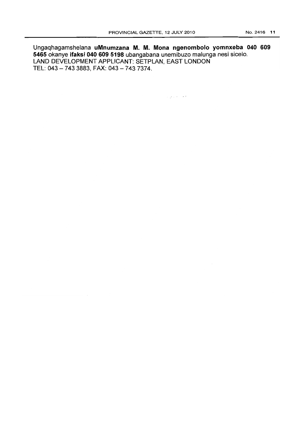Ungaqhagamshelana uMnumzana M. M. Mona ngenombolo yomnxeba 040 609 5465 okanye ifaksi 040 609 5198 ubangabana unemibuzo malunga nesi sicelo. LAND DEVELOPMENT APPLICANT: SETPLAN, EAST LONDON TEL: 043 - 743 3883, FAX: 043 - 743 7374.

 $\hat{\mathcal{A}}$  , and  $\hat{\mathcal{A}}$  , and  $\hat{\mathcal{A}}$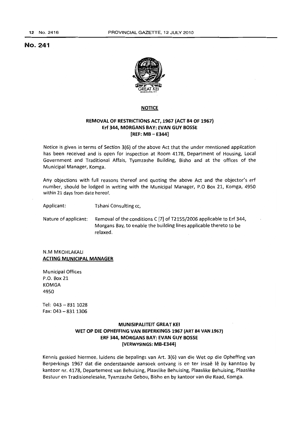## No. 241



## **NOTICE**

## **REMOVAL OF RESTRICTIONS ACT, 1967 (ACT 84 OF 1967) Erf 344, MORGANS BAY; EVAN GUY BOSSE [REF: MB - E344]**

Notice is given in terms of Section 3(6) of the above Act that the under mentioned application has been received and is open for inspection at Room 4178, Department of Housing, local Government and Traditional Affais, Tyamzashe Building, Bisho and at the offices of the Municipal Manager, Komga.

Any objections with full reasons thereof and quoting the above Act and the objector's erf number, should be lodged in writing with the Municipal Manager, P.O Box 21, Komga, 4950 within 21 days from date hereof.

Applicant: Tshani Consulting cc,

Nature of applicant: Removal of the conditions C [7] of T2155/2006 applicable to Erf 344, Morgans Bay, to enable the building lines applicable thereto to be relaxed.

N.M MKOHLAKALI **ACTING MUNICIPAL MANAGER** 

Municipal Offices P.O. Box 21 KOMGA 4950

Tel:  $043 - 8311028$  $Fax: 043 - 8311306$ 

## **MUNISIPALITEIT GREAT KEI WET OP DIE OPHEFFING VAN BEPERKINGS 1967 (ART 84 VAN 1967) ERF 344, MORGANS BAY: EVAN GUY BOSSE [VERWVSINGS: MB-E344]**

Kennis geskied hiermee, luidens die bepalings van Art. 3(6) van die Wet op die Opheffing van Berperkings 1967 dat die onderstaande aansoek ontvang is en ter insaê lê by kanntoo by kantoor nr. 4178, Departement van Behuising, Plaaslike Behuising, Plaaslike Behuising, Plaaslike Bestuur en Tradisionelesake, Tyamzashe Gebou, Bisho en by kantoor van die Raad, Komga.